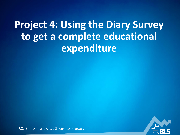**Project 4: Using the Diary Survey to get a complete educational expenditure**

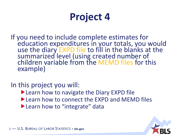# **Project 4**

If you need to include complete estimates for education expenditures in your totals, you would use the diary EXPD file to fill in the blanks at the summarized level (using created number of children variable from the MEMD files for this example)

In this project you will:

- ▶ Learn how to navigate the Diary EXPD file
- ▶ Learn how to connect the EXPD and MEMD files
- **Learn how to "integrate" data**

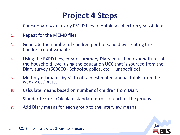### **Project 4 Steps**

- 1. Concatenate 4 quarterly FMLD files to obtain a collection year of data
- 2. Repeat for the MEMD files
- 3. Generate the number of children per household by creating the Children count variable
- 4. Using the EXPD files, create summary Diary education expenditures at the household level using the education UCC that is sourced from the Diary survey (660000 - School supplies, etc. – unspecified)
- 5. Multiply estimates by 52 to obtain estimated annual totals from the weekly estimates
- 6. Calculate means based on number of children from Diary
- 7. Standard Error: Calculate standard error for each of the groups
- 8. Add Diary means for each group to the Interview means

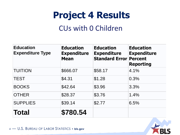#### CUs with 0 Children

| <b>Education</b><br><b>Expenditure Type</b> | <b>Education</b><br><b>Expenditure</b><br><b>Mean</b> | <b>Education</b><br><b>Expenditure</b><br><b>Standard Error</b> | <b>Education</b><br><b>Expenditure</b><br><b>Percent</b><br><b>Reporting</b> |
|---------------------------------------------|-------------------------------------------------------|-----------------------------------------------------------------|------------------------------------------------------------------------------|
| <b>TUITION</b>                              | \$666.07                                              | \$58.17                                                         | 4.1%                                                                         |
| <b>TEST</b>                                 | \$4.31                                                | \$1.28                                                          | 0.3%                                                                         |
| <b>BOOKS</b>                                | \$42.64                                               | \$3.96                                                          | 3.3%                                                                         |
| <b>OTHER</b>                                | \$28.37                                               | \$3.76                                                          | 1.4%                                                                         |
| <b>SUPPLIES</b>                             | \$39.14                                               | \$2.77                                                          | 6.5%                                                                         |
| <b>Total</b>                                | \$780.54                                              |                                                                 |                                                                              |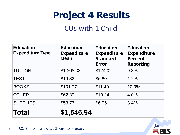#### CUs with 1 Child

| <b>Education</b><br><b>Expenditure Type</b> | <b>Education</b><br><b>Expenditure</b><br><b>Mean</b> | <b>Education</b><br><b>Expenditure</b><br><b>Standard</b><br><b>Error</b> | <b>Education</b><br><b>Expenditure</b><br><b>Percent</b><br><b>Reporting</b> |
|---------------------------------------------|-------------------------------------------------------|---------------------------------------------------------------------------|------------------------------------------------------------------------------|
| <b>TUITION</b>                              | \$1,308.03                                            | \$124.02                                                                  | 9.3%                                                                         |
| <b>TEST</b>                                 | \$19.82                                               | \$6.60                                                                    | 1.2%                                                                         |
| <b>BOOKS</b>                                | \$101.97                                              | \$11.40                                                                   | 10.0%                                                                        |
| <b>OTHER</b>                                | \$62.39                                               | \$10.24                                                                   | 4.0%                                                                         |
| <b>SUPPLIES</b>                             | \$53.73                                               | \$6.05                                                                    | 8.4%                                                                         |
| <b>Total</b>                                | \$1,545.94                                            |                                                                           |                                                                              |

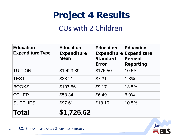#### CUs with 2 Children

| <b>Education</b><br><b>Expenditure Type</b> | <b>Education</b><br><b>Expenditure</b><br><b>Mean</b> | <b>Education</b><br><b>Expenditure</b><br><b>Standard</b><br><b>Error</b> | <b>Education</b><br><b>Expenditure</b><br><b>Percent</b><br><b>Reporting</b> |
|---------------------------------------------|-------------------------------------------------------|---------------------------------------------------------------------------|------------------------------------------------------------------------------|
| <b>TUITION</b>                              | \$1,423.89                                            | \$175.50                                                                  | 10.5%                                                                        |
| <b>TEST</b>                                 | \$38.21                                               | \$7.31                                                                    | 1.8%                                                                         |
| <b>BOOKS</b>                                | \$107.56                                              | \$9.17                                                                    | 13.5%                                                                        |
| <b>OTHER</b>                                | \$58.34                                               | \$6.49                                                                    | 6.0%                                                                         |
| <b>SUPPLIES</b>                             | \$97.61                                               | \$18.19                                                                   | 10.5%                                                                        |
| <b>Total</b>                                | \$1,725.62                                            |                                                                           |                                                                              |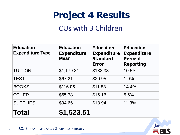#### CUs with 3 Children

| <b>Education</b><br><b>Expenditure Type</b> | <b>Education</b><br><b>Expenditure</b><br><b>Mean</b> | <b>Education</b><br><b>Expenditure</b><br><b>Standard</b><br><b>Error</b> | <b>Education</b><br><b>Expenditure</b><br><b>Percent</b><br><b>Reporting</b> |
|---------------------------------------------|-------------------------------------------------------|---------------------------------------------------------------------------|------------------------------------------------------------------------------|
| <b>TUITION</b>                              | \$1,179.81                                            | \$188.33                                                                  | 10.5%                                                                        |
| <b>TEST</b>                                 | \$67.21                                               | \$20.95                                                                   | 1.9%                                                                         |
| <b>BOOKS</b>                                | \$116.05                                              | \$11.83                                                                   | 14.4%                                                                        |
| <b>OTHER</b>                                | \$65.78                                               | \$16.16                                                                   | 5.6%                                                                         |
| <b>SUPPLIES</b>                             | \$94.66                                               | \$18.94                                                                   | 11.3%                                                                        |
| <b>Total</b>                                | \$1,523.51                                            |                                                                           |                                                                              |